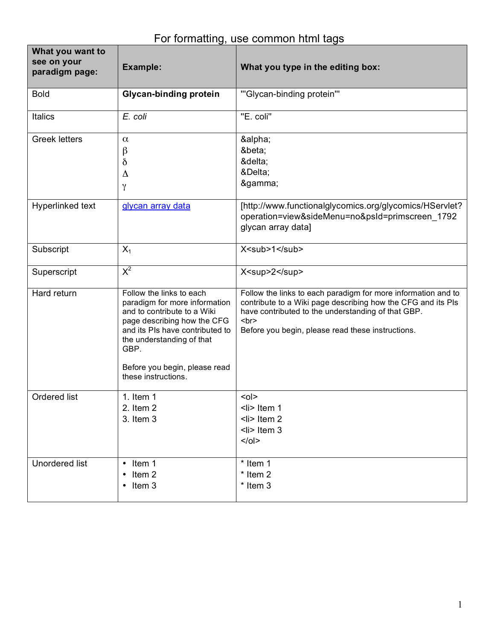## For formatting, use common html tags

| What you want to<br>see on your<br>paradigm page: | Example:                                                                                                                                                                                                                                                | What you type in the editing box:                                                                                                                                                                                                                                |
|---------------------------------------------------|---------------------------------------------------------------------------------------------------------------------------------------------------------------------------------------------------------------------------------------------------------|------------------------------------------------------------------------------------------------------------------------------------------------------------------------------------------------------------------------------------------------------------------|
| <b>Bold</b>                                       | <b>Glycan-binding protein</b>                                                                                                                                                                                                                           | "'Glycan-binding protein'"                                                                                                                                                                                                                                       |
| Italics                                           | E. coli                                                                                                                                                                                                                                                 | "E. coli"                                                                                                                                                                                                                                                        |
| <b>Greek letters</b>                              | $\alpha$<br>β<br>$\delta$<br>Δ<br>$\gamma$                                                                                                                                                                                                              | α<br>β<br>δ<br>Δ<br>γ                                                                                                                                                                                                                                            |
| Hyperlinked text                                  | glycan array data                                                                                                                                                                                                                                       | [http://www.functionalglycomics.org/glycomics/HServlet?<br>operation=view&sideMenu=no&psId=primscreen_1792<br>glycan array data]                                                                                                                                 |
| Subscript                                         | $X_1$                                                                                                                                                                                                                                                   | X <sub>1</sub>                                                                                                                                                                                                                                                   |
| Superscript                                       | $X^2$                                                                                                                                                                                                                                                   | X <sup>2</sup>                                                                                                                                                                                                                                                   |
| Hard return                                       | Follow the links to each<br>paradigm for more information<br>and to contribute to a Wiki<br>page describing how the CFG<br>and its PIs have contributed to<br>the understanding of that<br>GBP.<br>Before you begin, please read<br>these instructions. | Follow the links to each paradigm for more information and to<br>contribute to a Wiki page describing how the CFG and its PIs<br>have contributed to the understanding of that GBP.<br><br>str <sub>2</sub><br>Before you begin, please read these instructions. |
| Ordered list                                      | 1. Item $1$<br>2. Item 2<br>3. Item 3                                                                                                                                                                                                                   | $0$<br>$\leq$ i> Item 1<br>$\langle$ li> Item 2<br>$\leq$ li> Item 3<br>$<$ /ol>                                                                                                                                                                                 |
| <b>Unordered list</b>                             | $\cdot$ Item 1<br>Item 2<br>$\cdot$ Item 3                                                                                                                                                                                                              | * Item 1<br>* Item 2<br>* Item 3                                                                                                                                                                                                                                 |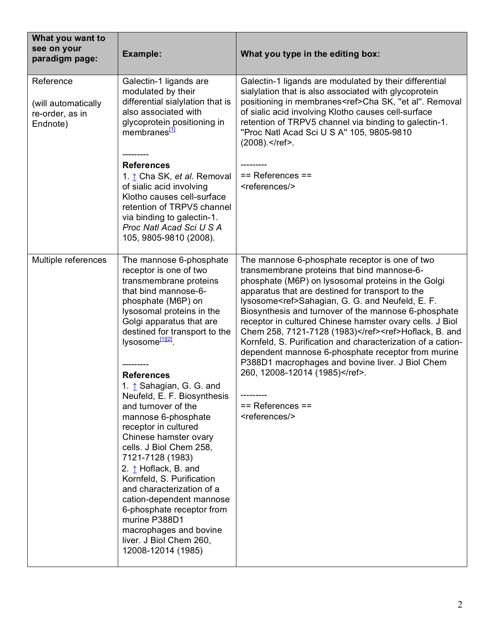| What you want to<br>see on your<br>paradigm page:               | Example:                                                                                                                                                                                                                                                                                                                                                                                                                                                                                                                                                                                                                                                                                                                          | What you type in the editing box:                                                                                                                                                                                                                                                                                                                                                                                                                                                                                                                                                                                                                                                                                             |
|-----------------------------------------------------------------|-----------------------------------------------------------------------------------------------------------------------------------------------------------------------------------------------------------------------------------------------------------------------------------------------------------------------------------------------------------------------------------------------------------------------------------------------------------------------------------------------------------------------------------------------------------------------------------------------------------------------------------------------------------------------------------------------------------------------------------|-------------------------------------------------------------------------------------------------------------------------------------------------------------------------------------------------------------------------------------------------------------------------------------------------------------------------------------------------------------------------------------------------------------------------------------------------------------------------------------------------------------------------------------------------------------------------------------------------------------------------------------------------------------------------------------------------------------------------------|
| Reference<br>(will automatically<br>re-order, as in<br>Endnote) | Galectin-1 ligands are<br>modulated by their<br>differential sialylation that is<br>also associated with<br>glycoprotein positioning in<br>membranes <sup>[1]</sup>                                                                                                                                                                                                                                                                                                                                                                                                                                                                                                                                                               | Galectin-1 ligands are modulated by their differential<br>sialylation that is also associated with glycoprotein<br>positioning in membranes <ref>Cha SK, "et al". Removal<br/>of sialic acid involving Klotho causes cell-surface<br/>retention of TRPV5 channel via binding to galectin-1.<br/>"Proc Natl Acad Sci U S A" 105, 9805-9810<br/>(2008).</ref> .                                                                                                                                                                                                                                                                                                                                                                 |
|                                                                 | <b>References</b><br>1. ↑ Cha SK, et al. Removal<br>of sialic acid involving<br>Klotho causes cell-surface<br>retention of TRPV5 channel<br>via binding to galectin-1.<br>Proc Natl Acad Sci U S A<br>105, 9805-9810 (2008).                                                                                                                                                                                                                                                                                                                                                                                                                                                                                                      | $==$ References $==$<br><references></references>                                                                                                                                                                                                                                                                                                                                                                                                                                                                                                                                                                                                                                                                             |
| Multiple references                                             | The mannose 6-phosphate<br>receptor is one of two<br>transmembrane proteins<br>that bind mannose-6-<br>phosphate (M6P) on<br>lysosomal proteins in the<br>Golgi apparatus that are<br>destined for transport to the<br>lysosome <sup>[1][2]</sup> .<br><b>References</b><br>1. 1 Sahagian, G. G. and<br>Neufeld, E. F. Biosynthesis<br>and turnover of the<br>mannose 6-phosphate<br>receptor in cultured<br>Chinese hamster ovary<br>cells. J Biol Chem 258,<br>7121-7128 (1983)<br>2. $\uparrow$ Hoflack, B. and<br>Kornfeld, S. Purification<br>and characterization of a<br>cation-dependent mannose<br>6-phosphate receptor from<br>murine P388D1<br>macrophages and bovine<br>liver. J Biol Chem 260,<br>12008-12014 (1985) | The mannose 6-phosphate receptor is one of two<br>transmembrane proteins that bind mannose-6-<br>phosphate (M6P) on lysosomal proteins in the Golgi<br>apparatus that are destined for transport to the<br>lysosome <ref>Sahagian, G. G. and Neufeld, E. F.<br/>Biosynthesis and turnover of the mannose 6-phosphate<br/>receptor in cultured Chinese hamster ovary cells. J Biol<br/>Chem 258, 7121-7128 (1983)</ref> <ref>Hoflack, B. and<br/>Kornfeld, S. Purification and characterization of a cation-<br/>dependent mannose 6-phosphate receptor from murine<br/>P388D1 macrophages and bovine liver. J Biol Chem<br/>260, 12008-12014 (1985)</ref> .<br>---------<br>$==$ References $==$<br><references></references> |